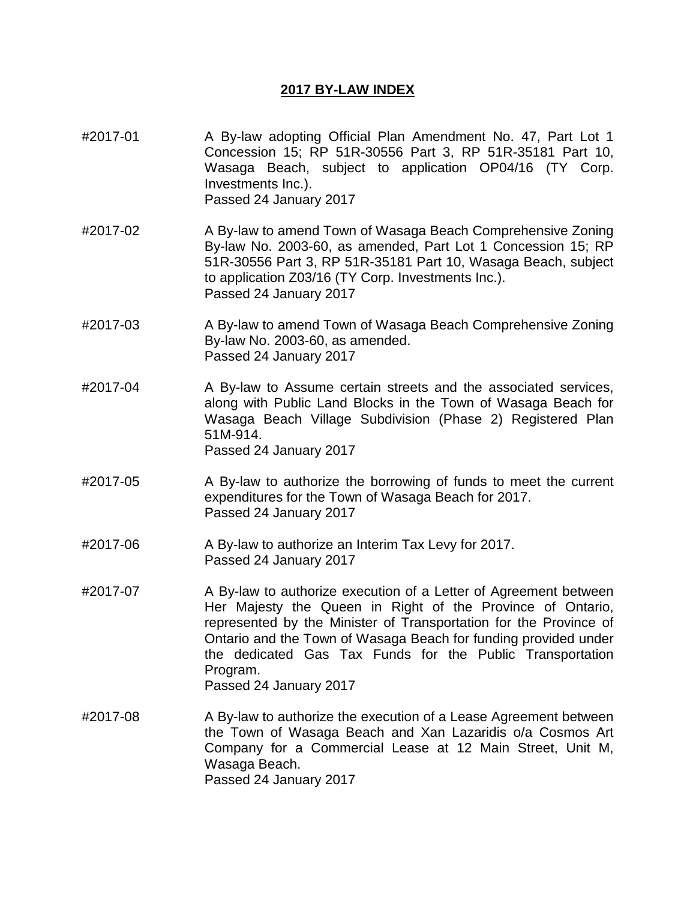## **2017 BY-LAW INDEX**

- #2017-01 A By-law adopting Official Plan Amendment No. 47, Part Lot 1 Concession 15; RP 51R-30556 Part 3, RP 51R-35181 Part 10, Wasaga Beach, subject to application OP04/16 (TY Corp. Investments Inc.). Passed 24 January 2017
- #2017-02 A By-law to amend Town of Wasaga Beach Comprehensive Zoning By-law No. 2003-60, as amended, Part Lot 1 Concession 15; RP 51R-30556 Part 3, RP 51R-35181 Part 10, Wasaga Beach, subject to application Z03/16 (TY Corp. Investments Inc.). Passed 24 January 2017
- #2017-03 A By-law to amend Town of Wasaga Beach Comprehensive Zoning By-law No. 2003-60, as amended. Passed 24 January 2017
- #2017-04 A By-law to Assume certain streets and the associated services, along with Public Land Blocks in the Town of Wasaga Beach for Wasaga Beach Village Subdivision (Phase 2) Registered Plan 51M-914.

Passed 24 January 2017

- #2017-05 A By-law to authorize the borrowing of funds to meet the current expenditures for the Town of Wasaga Beach for 2017. Passed 24 January 2017
- #2017-06 A By-law to authorize an Interim Tax Levy for 2017. Passed 24 January 2017
- #2017-07 A By-law to authorize execution of a Letter of Agreement between Her Majesty the Queen in Right of the Province of Ontario, represented by the Minister of Transportation for the Province of Ontario and the Town of Wasaga Beach for funding provided under the dedicated Gas Tax Funds for the Public Transportation Program. Passed 24 January 2017
- #2017-08 A By-law to authorize the execution of a Lease Agreement between the Town of Wasaga Beach and Xan Lazaridis o/a Cosmos Art Company for a Commercial Lease at 12 Main Street, Unit M, Wasaga Beach. Passed 24 January 2017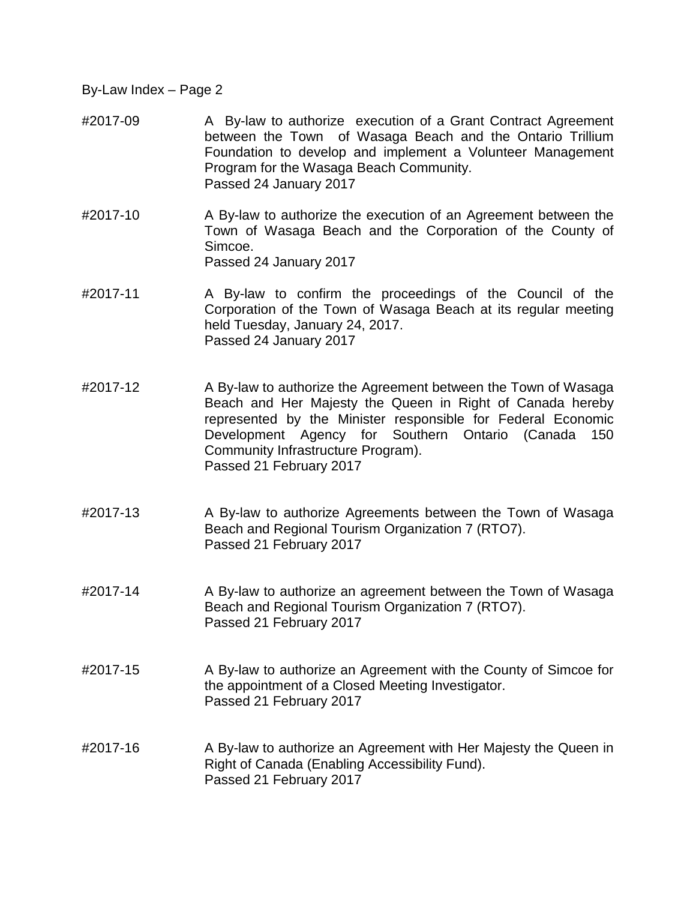- #2017-09 A By-law to authorize execution of a Grant Contract Agreement between the Town of Wasaga Beach and the Ontario Trillium Foundation to develop and implement a Volunteer Management Program for the Wasaga Beach Community. Passed 24 January 2017
- #2017-10 A By-law to authorize the execution of an Agreement between the Town of Wasaga Beach and the Corporation of the County of Simcoe. Passed 24 January 2017
- #2017-11 A By-law to confirm the proceedings of the Council of the Corporation of the Town of Wasaga Beach at its regular meeting held Tuesday, January 24, 2017. Passed 24 January 2017
- #2017-12 A By-law to authorize the Agreement between the Town of Wasaga Beach and Her Majesty the Queen in Right of Canada hereby represented by the Minister responsible for Federal Economic Development Agency for Southern Ontario (Canada 150 Community Infrastructure Program). Passed 21 February 2017
- #2017-13 A By-law to authorize Agreements between the Town of Wasaga Beach and Regional Tourism Organization 7 (RTO7). Passed 21 February 2017
- #2017-14 A By-law to authorize an agreement between the Town of Wasaga Beach and Regional Tourism Organization 7 (RTO7). Passed 21 February 2017
- #2017-15 A By-law to authorize an Agreement with the County of Simcoe for the appointment of a Closed Meeting Investigator. Passed 21 February 2017
- #2017-16 A By-law to authorize an Agreement with Her Majesty the Queen in Right of Canada (Enabling Accessibility Fund). Passed 21 February 2017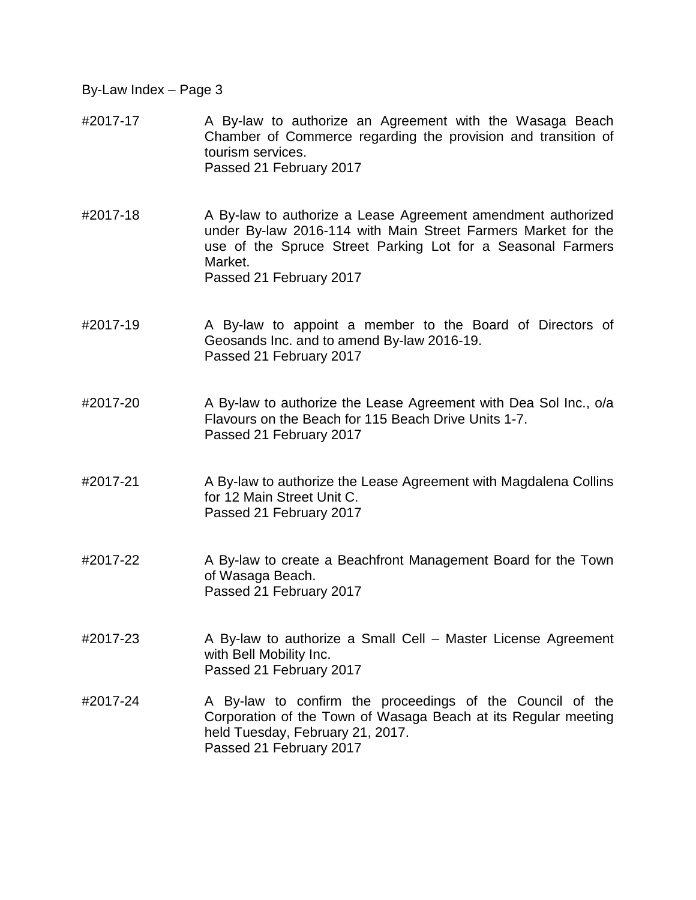- #2017-17 A By-law to authorize an Agreement with the Wasaga Beach Chamber of Commerce regarding the provision and transition of tourism services. Passed 21 February 2017
- #2017-18 A By-law to authorize a Lease Agreement amendment authorized under By-law 2016-114 with Main Street Farmers Market for the use of the Spruce Street Parking Lot for a Seasonal Farmers Market. Passed 21 February 2017
- #2017-19 A By-law to appoint a member to the Board of Directors of Geosands Inc. and to amend By-law 2016-19. Passed 21 February 2017
- #2017-20 A By-law to authorize the Lease Agreement with Dea Sol Inc., o/a Flavours on the Beach for 115 Beach Drive Units 1-7. Passed 21 February 2017
- #2017-21 A By-law to authorize the Lease Agreement with Magdalena Collins for 12 Main Street Unit C. Passed 21 February 2017
- #2017-22 A By-law to create a Beachfront Management Board for the Town of Wasaga Beach. Passed 21 February 2017
- #2017-23 A By-law to authorize a Small Cell Master License Agreement with Bell Mobility Inc. Passed 21 February 2017
- #2017-24 A By-law to confirm the proceedings of the Council of the Corporation of the Town of Wasaga Beach at its Regular meeting held Tuesday, February 21, 2017. Passed 21 February 2017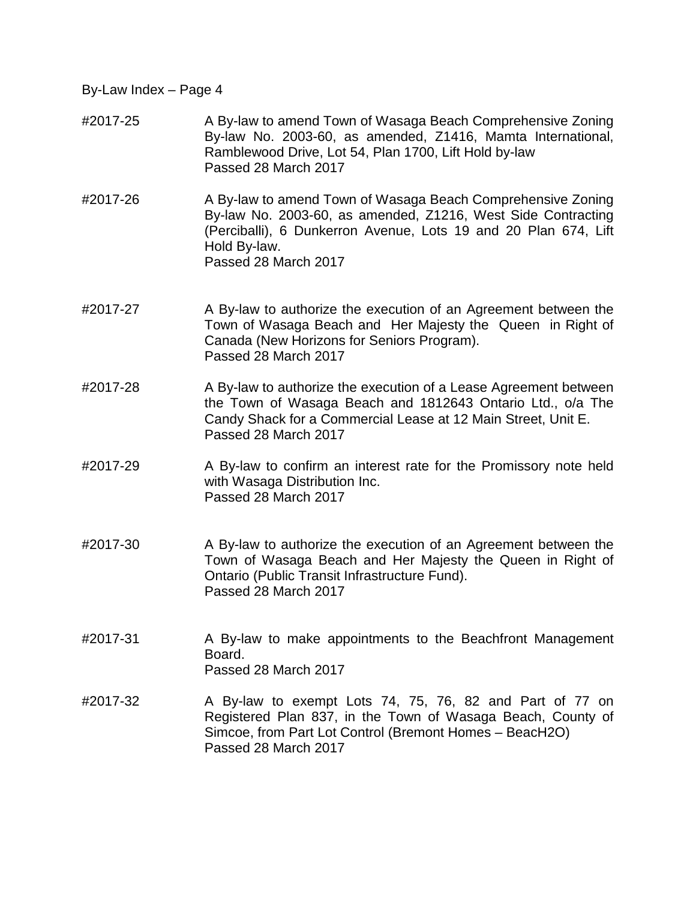- #2017-25 A By-law to amend Town of Wasaga Beach Comprehensive Zoning By-law No. 2003-60, as amended, Z1416, Mamta International, Ramblewood Drive, Lot 54, Plan 1700, Lift Hold by-law Passed 28 March 2017
- #2017-26 A By-law to amend Town of Wasaga Beach Comprehensive Zoning By-law No. 2003-60, as amended, Z1216, West Side Contracting (Perciballi), 6 Dunkerron Avenue, Lots 19 and 20 Plan 674, Lift Hold By-law. Passed 28 March 2017
- #2017-27 A By-law to authorize the execution of an Agreement between the Town of Wasaga Beach and Her Majesty the Queen in Right of Canada (New Horizons for Seniors Program). Passed 28 March 2017
- #2017-28 A By-law to authorize the execution of a Lease Agreement between the Town of Wasaga Beach and 1812643 Ontario Ltd., o/a The Candy Shack for a Commercial Lease at 12 Main Street, Unit E. Passed 28 March 2017
- #2017-29 A By-law to confirm an interest rate for the Promissory note held with Wasaga Distribution Inc. Passed 28 March 2017
- #2017-30 A By-law to authorize the execution of an Agreement between the Town of Wasaga Beach and Her Majesty the Queen in Right of Ontario (Public Transit Infrastructure Fund). Passed 28 March 2017
- #2017-31 A By-law to make appointments to the Beachfront Management Board. Passed 28 March 2017
- #2017-32 A By-law to exempt Lots 74, 75, 76, 82 and Part of 77 on Registered Plan 837, in the Town of Wasaga Beach, County of Simcoe, from Part Lot Control (Bremont Homes – BeacH2O) Passed 28 March 2017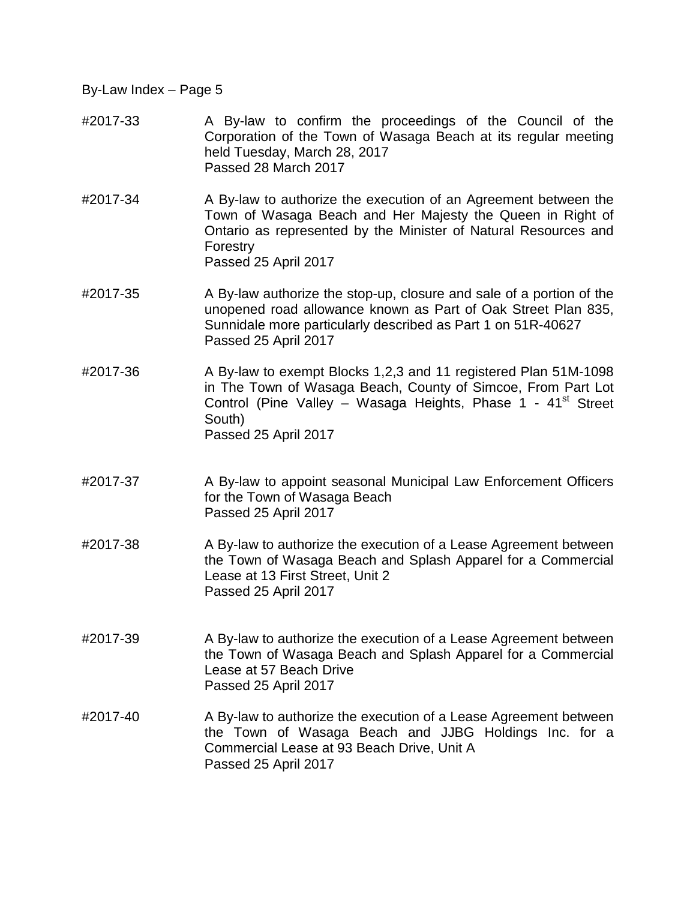- #2017-33 A By-law to confirm the proceedings of the Council of the Corporation of the Town of Wasaga Beach at its regular meeting held Tuesday, March 28, 2017 Passed 28 March 2017
- #2017-34 A By-law to authorize the execution of an Agreement between the Town of Wasaga Beach and Her Majesty the Queen in Right of Ontario as represented by the Minister of Natural Resources and Forestry Passed 25 April 2017
- #2017-35 A By-law authorize the stop-up, closure and sale of a portion of the unopened road allowance known as Part of Oak Street Plan 835, Sunnidale more particularly described as Part 1 on 51R-40627 Passed 25 April 2017
- #2017-36 A By-law to exempt Blocks 1,2,3 and 11 registered Plan 51M-1098 in The Town of Wasaga Beach, County of Simcoe, From Part Lot Control (Pine Valley – Wasaga Heights, Phase  $1 - 41$ <sup>st</sup> Street South) Passed 25 April 2017
- #2017-37 A By-law to appoint seasonal Municipal Law Enforcement Officers for the Town of Wasaga Beach Passed 25 April 2017
- #2017-38 A By-law to authorize the execution of a Lease Agreement between the Town of Wasaga Beach and Splash Apparel for a Commercial Lease at 13 First Street, Unit 2 Passed 25 April 2017
- #2017-39 A By-law to authorize the execution of a Lease Agreement between the Town of Wasaga Beach and Splash Apparel for a Commercial Lease at 57 Beach Drive Passed 25 April 2017
- #2017-40 A By-law to authorize the execution of a Lease Agreement between the Town of Wasaga Beach and JJBG Holdings Inc. for a Commercial Lease at 93 Beach Drive, Unit A Passed 25 April 2017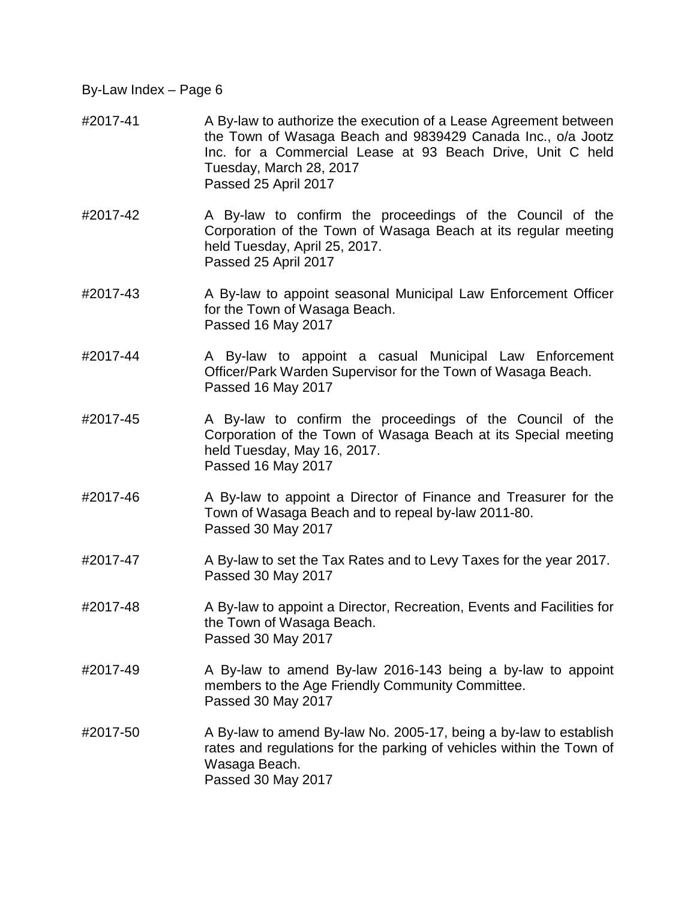- #2017-41 A By-law to authorize the execution of a Lease Agreement between the Town of Wasaga Beach and 9839429 Canada Inc., o/a Jootz Inc. for a Commercial Lease at 93 Beach Drive, Unit C held Tuesday, March 28, 2017 Passed 25 April 2017
- #2017-42 A By-law to confirm the proceedings of the Council of the Corporation of the Town of Wasaga Beach at its regular meeting held Tuesday, April 25, 2017. Passed 25 April 2017
- #2017-43 A By-law to appoint seasonal Municipal Law Enforcement Officer for the Town of Wasaga Beach. Passed 16 May 2017
- #2017-44 A By-law to appoint a casual Municipal Law Enforcement Officer/Park Warden Supervisor for the Town of Wasaga Beach. Passed 16 May 2017
- #2017-45 A By-law to confirm the proceedings of the Council of the Corporation of the Town of Wasaga Beach at its Special meeting held Tuesday, May 16, 2017. Passed 16 May 2017
- #2017-46 A By-law to appoint a Director of Finance and Treasurer for the Town of Wasaga Beach and to repeal by-law 2011-80. Passed 30 May 2017
- #2017-47 A By-law to set the Tax Rates and to Levy Taxes for the year 2017. Passed 30 May 2017
- #2017-48 A By-law to appoint a Director, Recreation, Events and Facilities for the Town of Wasaga Beach. Passed 30 May 2017
- #2017-49 A By-law to amend By-law 2016-143 being a by-law to appoint members to the Age Friendly Community Committee. Passed 30 May 2017
- #2017-50 A By-law to amend By-law No. 2005-17, being a by-law to establish rates and regulations for the parking of vehicles within the Town of Wasaga Beach. Passed 30 May 2017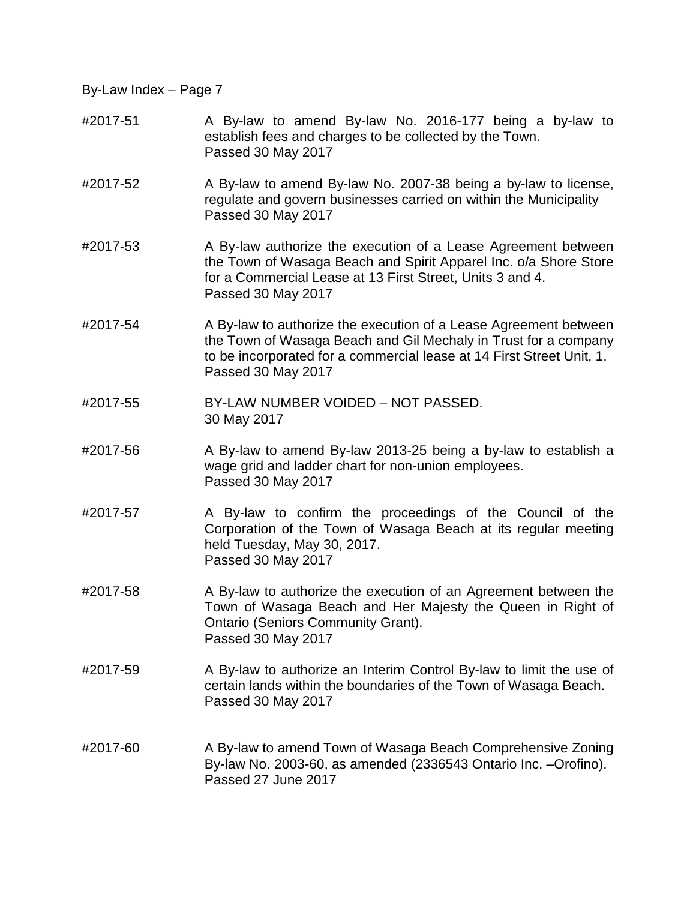- #2017-51 A By-law to amend By-law No. 2016-177 being a by-law to establish fees and charges to be collected by the Town. Passed 30 May 2017
- #2017-52 A By-law to amend By-law No. 2007-38 being a by-law to license, regulate and govern businesses carried on within the Municipality Passed 30 May 2017
- #2017-53 A By-law authorize the execution of a Lease Agreement between the Town of Wasaga Beach and Spirit Apparel Inc. o/a Shore Store for a Commercial Lease at 13 First Street, Units 3 and 4. Passed 30 May 2017
- #2017-54 A By-law to authorize the execution of a Lease Agreement between the Town of Wasaga Beach and Gil Mechaly in Trust for a company to be incorporated for a commercial lease at 14 First Street Unit, 1. Passed 30 May 2017
- #2017-55 BY-LAW NUMBER VOIDED NOT PASSED. 30 May 2017
- #2017-56 A By-law to amend By-law 2013-25 being a by-law to establish a wage grid and ladder chart for non-union employees. Passed 30 May 2017
- #2017-57 A By-law to confirm the proceedings of the Council of the Corporation of the Town of Wasaga Beach at its regular meeting held Tuesday, May 30, 2017. Passed 30 May 2017
- #2017-58 A By-law to authorize the execution of an Agreement between the Town of Wasaga Beach and Her Majesty the Queen in Right of Ontario (Seniors Community Grant). Passed 30 May 2017
- #2017-59 A By-law to authorize an Interim Control By-law to limit the use of certain lands within the boundaries of the Town of Wasaga Beach. Passed 30 May 2017
- #2017-60 A By-law to amend Town of Wasaga Beach Comprehensive Zoning By-law No. 2003-60, as amended (2336543 Ontario Inc. –Orofino). Passed 27 June 2017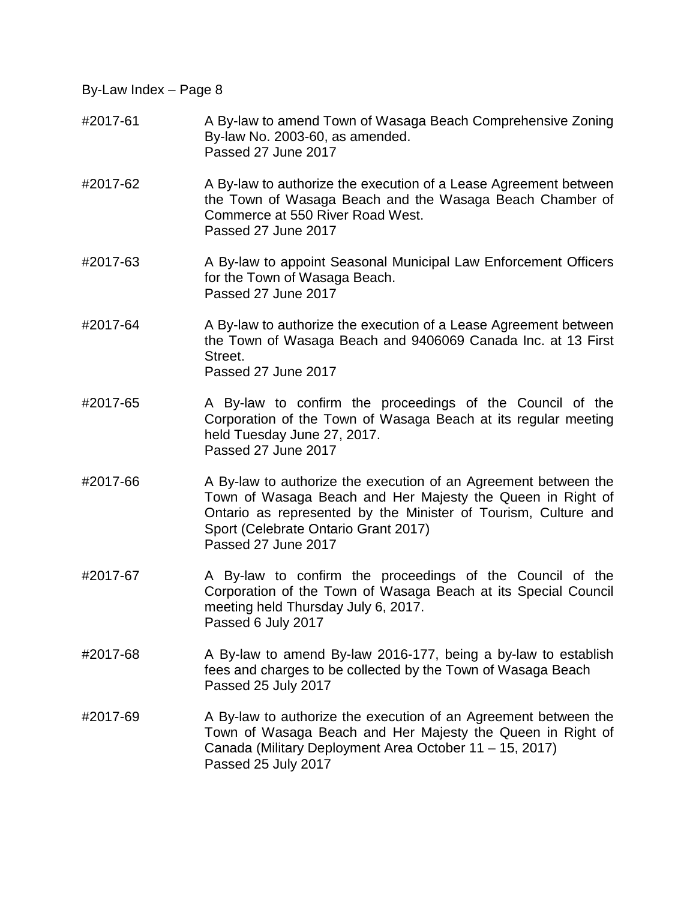- #2017-61 A By-law to amend Town of Wasaga Beach Comprehensive Zoning By-law No. 2003-60, as amended. Passed 27 June 2017
- #2017-62 A By-law to authorize the execution of a Lease Agreement between the Town of Wasaga Beach and the Wasaga Beach Chamber of Commerce at 550 River Road West. Passed 27 June 2017
- #2017-63 A By-law to appoint Seasonal Municipal Law Enforcement Officers for the Town of Wasaga Beach. Passed 27 June 2017
- #2017-64 A By-law to authorize the execution of a Lease Agreement between the Town of Wasaga Beach and 9406069 Canada Inc. at 13 First Street. Passed 27 June 2017
- #2017-65 A By-law to confirm the proceedings of the Council of the Corporation of the Town of Wasaga Beach at its regular meeting held Tuesday June 27, 2017. Passed 27 June 2017
- #2017-66 A By-law to authorize the execution of an Agreement between the Town of Wasaga Beach and Her Majesty the Queen in Right of Ontario as represented by the Minister of Tourism, Culture and Sport (Celebrate Ontario Grant 2017) Passed 27 June 2017
- #2017-67 A By-law to confirm the proceedings of the Council of the Corporation of the Town of Wasaga Beach at its Special Council meeting held Thursday July 6, 2017. Passed 6 July 2017
- #2017-68 A By-law to amend By-law 2016-177, being a by-law to establish fees and charges to be collected by the Town of Wasaga Beach Passed 25 July 2017
- #2017-69 A By-law to authorize the execution of an Agreement between the Town of Wasaga Beach and Her Majesty the Queen in Right of Canada (Military Deployment Area October 11 – 15, 2017) Passed 25 July 2017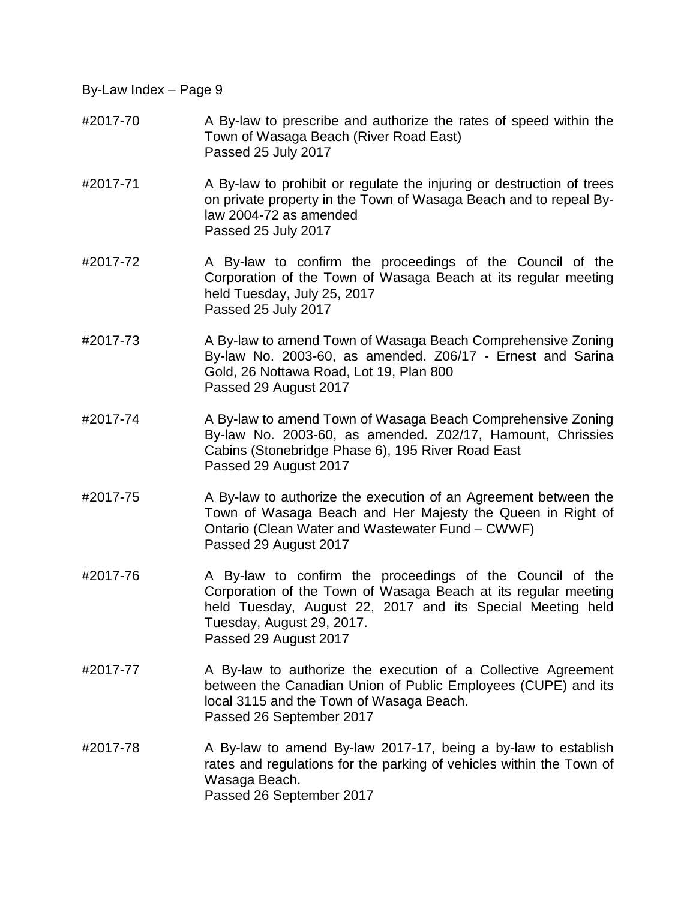- #2017-70 A By-law to prescribe and authorize the rates of speed within the Town of Wasaga Beach (River Road East) Passed 25 July 2017
- #2017-71 A By-law to prohibit or regulate the injuring or destruction of trees on private property in the Town of Wasaga Beach and to repeal Bylaw 2004-72 as amended Passed 25 July 2017
- #2017-72 A By-law to confirm the proceedings of the Council of the Corporation of the Town of Wasaga Beach at its regular meeting held Tuesday, July 25, 2017 Passed 25 July 2017
- #2017-73 A By-law to amend Town of Wasaga Beach Comprehensive Zoning By-law No. 2003-60, as amended. Z06/17 - Ernest and Sarina Gold, 26 Nottawa Road, Lot 19, Plan 800 Passed 29 August 2017
- #2017-74 A By-law to amend Town of Wasaga Beach Comprehensive Zoning By-law No. 2003-60, as amended. Z02/17, Hamount, Chrissies Cabins (Stonebridge Phase 6), 195 River Road East Passed 29 August 2017
- #2017-75 A By-law to authorize the execution of an Agreement between the Town of Wasaga Beach and Her Majesty the Queen in Right of Ontario (Clean Water and Wastewater Fund – CWWF) Passed 29 August 2017
- #2017-76 A By-law to confirm the proceedings of the Council of the Corporation of the Town of Wasaga Beach at its regular meeting held Tuesday, August 22, 2017 and its Special Meeting held Tuesday, August 29, 2017. Passed 29 August 2017
- #2017-77 A By-law to authorize the execution of a Collective Agreement between the Canadian Union of Public Employees (CUPE) and its local 3115 and the Town of Wasaga Beach. Passed 26 September 2017
- #2017-78 A By-law to amend By-law 2017-17, being a by-law to establish rates and regulations for the parking of vehicles within the Town of Wasaga Beach. Passed 26 September 2017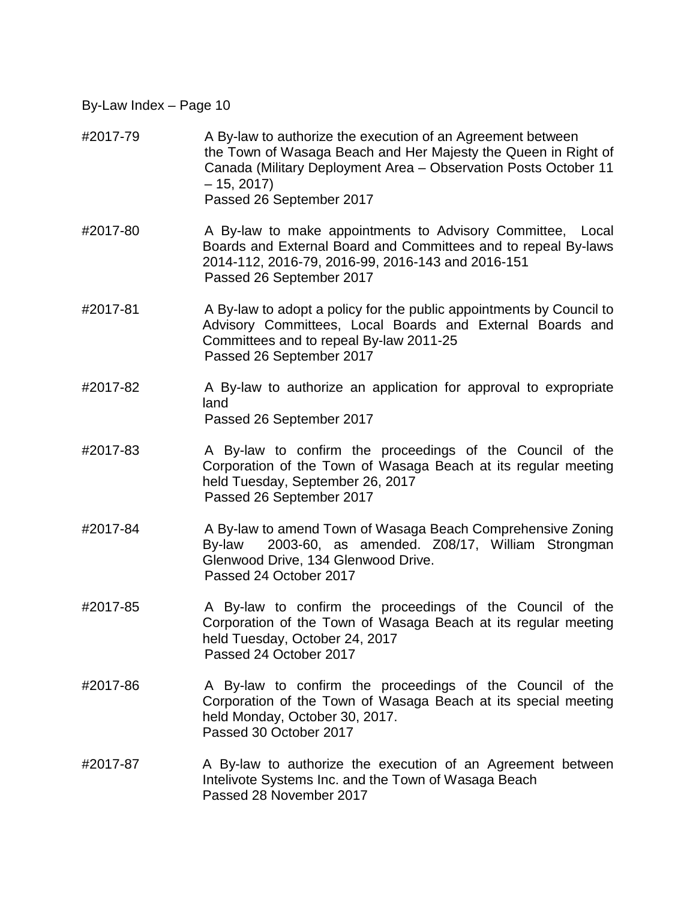- #2017-79 A By-law to authorize the execution of an Agreement between the Town of Wasaga Beach and Her Majesty the Queen in Right of Canada (Military Deployment Area – Observation Posts October 11  $-15, 2017$ Passed 26 September 2017
- #2017-80 A By-law to make appointments to Advisory Committee, Local Boards and External Board and Committees and to repeal By-laws 2014-112, 2016-79, 2016-99, 2016-143 and 2016-151 Passed 26 September 2017
- #2017-81 A By-law to adopt a policy for the public appointments by Council to Advisory Committees, Local Boards and External Boards and Committees and to repeal By-law 2011-25 Passed 26 September 2017
- #2017-82 A By-law to authorize an application for approval to expropriate land Passed 26 September 2017
- #2017-83 A By-law to confirm the proceedings of the Council of the Corporation of the Town of Wasaga Beach at its regular meeting held Tuesday, September 26, 2017 Passed 26 September 2017
- #2017-84 A By-law to amend Town of Wasaga Beach Comprehensive Zoning By-law 2003-60, as amended. Z08/17, William Strongman Glenwood Drive, 134 Glenwood Drive. Passed 24 October 2017
- #2017-85 A By-law to confirm the proceedings of the Council of the Corporation of the Town of Wasaga Beach at its regular meeting held Tuesday, October 24, 2017 Passed 24 October 2017
- #2017-86 A By-law to confirm the proceedings of the Council of the Corporation of the Town of Wasaga Beach at its special meeting held Monday, October 30, 2017. Passed 30 October 2017
- #2017-87 A By-law to authorize the execution of an Agreement between Intelivote Systems Inc. and the Town of Wasaga Beach Passed 28 November 2017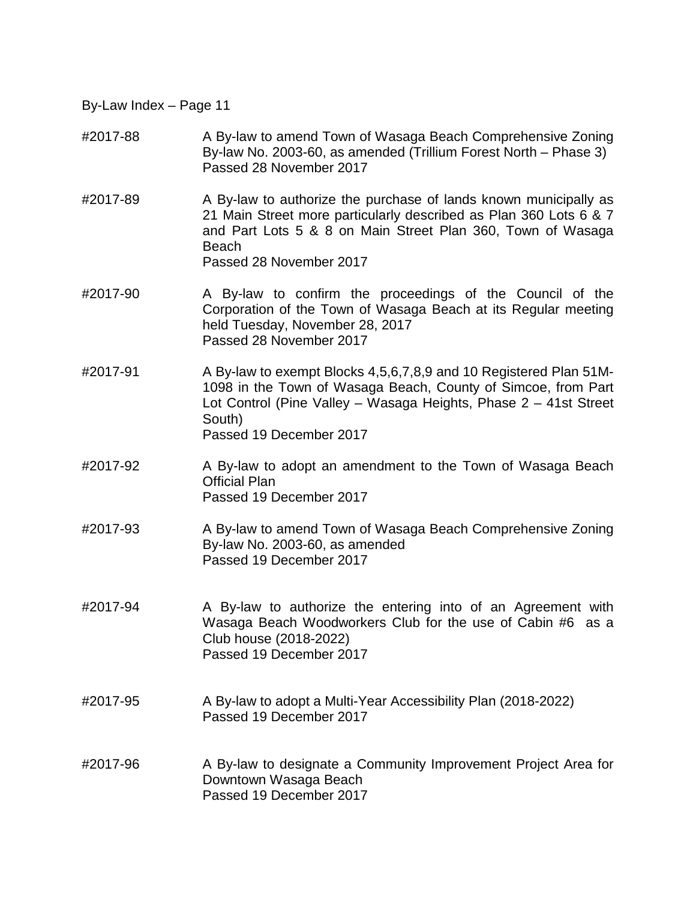- #2017-88 A By-law to amend Town of Wasaga Beach Comprehensive Zoning By-law No. 2003-60, as amended (Trillium Forest North – Phase 3) Passed 28 November 2017
- #2017-89 A By-law to authorize the purchase of lands known municipally as 21 Main Street more particularly described as Plan 360 Lots 6 & 7 and Part Lots 5 & 8 on Main Street Plan 360, Town of Wasaga Beach Passed 28 November 2017
- #2017-90 A By-law to confirm the proceedings of the Council of the Corporation of the Town of Wasaga Beach at its Regular meeting held Tuesday, November 28, 2017 Passed 28 November 2017
- #2017-91 A By-law to exempt Blocks 4,5,6,7,8,9 and 10 Registered Plan 51M-1098 in the Town of Wasaga Beach, County of Simcoe, from Part Lot Control (Pine Valley – Wasaga Heights, Phase 2 – 41st Street South) Passed 19 December 2017
- #2017-92 A By-law to adopt an amendment to the Town of Wasaga Beach Official Plan Passed 19 December 2017
- #2017-93 A By-law to amend Town of Wasaga Beach Comprehensive Zoning By-law No. 2003-60, as amended Passed 19 December 2017
- #2017-94 A By-law to authorize the entering into of an Agreement with Wasaga Beach Woodworkers Club for the use of Cabin #6 as a Club house (2018-2022) Passed 19 December 2017
- #2017-95 A By-law to adopt a Multi-Year Accessibility Plan (2018-2022) Passed 19 December 2017
- #2017-96 A By-law to designate a Community Improvement Project Area for Downtown Wasaga Beach Passed 19 December 2017